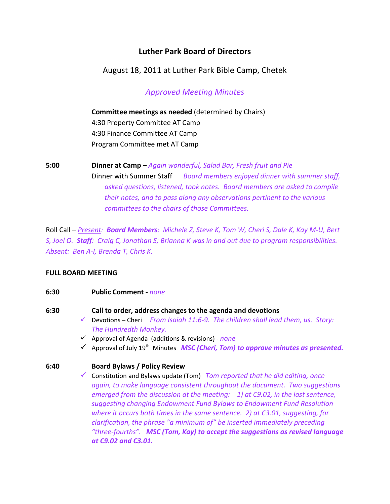# **Luther Park Board of Directors**

August 18, 2011 at Luther Park Bible Camp, Chetek

*Approved Meeting Minutes*

# **Committee meetings as needed** (determined by Chairs)

 4:30 Property Committee AT Camp 4:30 Finance Committee AT Camp Program Committee met AT Camp

**5:00 Dinner at Camp –** *Again wonderful, Salad Bar, Fresh fruit and Pie*  Dinner with Summer Staff *Board members enjoyed dinner with summer staff, asked questions, listened, took notes. Board members are asked to compile their notes, and to pass along any observations pertinent to the various committees to the chairs of those Committees.*

Roll Call - Present: Board Members: Michele Z, Steve K, Tom W, Cheri S, Dale K, Kay M-U, Bert S, Joel O. Staff: Craig C, Jonathan S; Brianna K was in and out due to program responsibilities. *Absent: Ben A‐I, Brenda T, Chris K.*

# **FULL BOARD MEETING**

### **6:30 Public Comment ‐** *none*

- **6:30 Call to order, address changes to the agenda and devotions**
	- 9 Devotions Cheri *From Isaiah 11:6‐9. The children shall lead them, us. Story: The Hundredth Monkey.*
	- 9 Approval of Agenda (additions & revisions) ‐ *none*
	- 9 Approval of July 19th Minutes *MSC (Cheri, Tom) to approve minutes as presented.*

# **6:40 Board Bylaws / Policy Review**

9 Constitution and Bylaws update (Tom) *Tom reported that he did editing, once again, to make language consistent throughout the document. Two suggestions emerged from the discussion at the meeting: 1) at C9.02, in the last sentence, suggesting changing Endowment Fund Bylaws to Endowment Fund Resolution where it occurs both times in the same sentence. 2) at C3.01, suggesting, for clarification, the phrase "a minimum of" be inserted immediately preceding "three‐fourths". MSC (Tom, Kay) to accept the suggestions as revised language at C9.02 and C3.01.*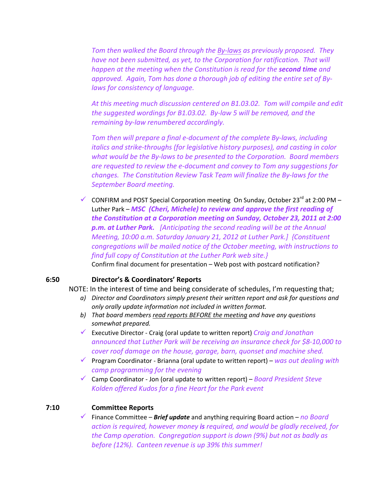*Tom then walked the Board through the By‐laws as previously proposed. They have not been submitted, as yet, to the Corporation for ratification. That will happen at the meeting when the Constitution is read for the second time and approved. Again, Tom has done a thorough job of editing the entire set of By‐ laws for consistency of language.* 

*At this meeting much discussion centered on B1.03.02. Tom will compile and edit the suggested wordings for B1.03.02. By‐law 5 will be removed, and the remaining by‐law renumbered accordingly.* 

*Tom then will prepare a final e‐document of the complete By‐laws, including italics and strike‐throughs (for legislative history purposes), and casting in color what would be the By‐laws to be presented to the Corporation. Board members are requested to review the e‐document and convey to Tom any suggestions for changes. The Constitution Review Task Team will finalize the By‐laws for the September Board meeting.* 

CONFIRM and POST Special Corporation meeting On Sunday, October 23<sup>rd</sup> at 2:00 PM – Luther Park – *MSC (Cheri, Michele) to review and approve the first reading of the Constitution at a Corporation meeting on Sunday, October 23, 2011 at 2:00 p.m. at Luther Park. [Anticipating the second reading will be at the Annual Meeting, 10:00 a.m. Saturday January 21, 2012 at Luther Park.] {Constituent congregations will be mailed notice of the October meeting, with instructions to find full copy of Constitution at the Luther Park web site.}*  Confirm final document for presentation – Web post with postcard notification?

#### **6:50 Director's & Coordinators' Reports**

NOTE: In the interest of time and being considerate of schedules, I'm requesting that;

- *a) Director and Coordinators simply present their written report and ask for questions and only orally update information not included in written format.*
- *b) That board members read reports BEFORE the meeting and have any questions somewhat prepared.*
- 9 Executive Director ‐ Craig (oral update to written report) *Craig and Jonathan announced that Luther Park will be receiving an insurance check for \$8‐10,000 to cover roof damage on the house, garage, barn, quonset and machine shed.*
- 9 Program Coordinator ‐ Brianna (oral update to written report) *was out dealing with camp programming for the evening*
- 9 Camp Coordinator ‐ Jon (oral update to written report) *Board President Steve Kolden offered Kudos for a fine Heart for the Park event*

### **7:10 Committee Reports**

9 Finance Committee – *Brief update* and anything requiring Board action – *no Board action is required, however money is required, and would be gladly received, for the Camp operation. Congregation support is down (9%) but not as badly as before (12%). Canteen revenue is up 39% this summer!*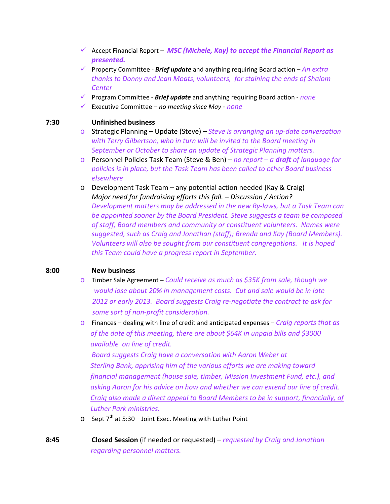- 9 Accept Financial Report *MSC (Michele, Kay) to accept the Financial Report as presented.*
- 9 Property Committee ‐ *Brief update* and anything requiring Board action *An extra thanks to Donny and Jean Moats, volunteers, for staining the ends of Shalom Center*
- 9 Program Committee ‐ *Brief update* and anything requiring Board action ‐ *none*
- 9 Executive Committee *no meeting since May ‐ none*

#### **7:30 Unfinished business**

- o Strategic Planning Update (Steve) *Steve is arranging an up‐date conversation with Terry Gilbertson, who in turn will be invited to the Board meeting in September or October to share an update of Strategic Planning matters.*
- o Personnel Policies Task Team (Steve & Ben) *no report – a draft of language for policies is in place, but the Task Team has been called to other Board business elsewhere*
- o Development Task Team any potential action needed (Kay & Craig) *Major need for fundraising efforts this fall. – Discussion / Action? Development matters may be addressed in the new By‐laws, but a Task Team can be appointed sooner by the Board President. Steve suggests a team be composed of staff, Board members and community or constituent volunteers. Names were suggested, such as Craig and Jonathan (staff); Brenda and Kay (Board Members). Volunteers will also be sought from our constituent congregations. It is hoped this Team could have a progress report in September.*

#### **8:00 New business**

- o Timber Sale Agreement *Could receive as much as \$35K from sale, though we would lose about 20% in management costs. Cut and sale would be in late 2012 or early 2013. Board suggests Craig re‐negotiate the contract to ask for some sort of non‐profit consideration.*
- o Finances dealing with line of credit and anticipated expenses *Craig reports that as of the date of this meeting, there are about \$64K in unpaid bills and \$3000 available on line of credit.*

*Board suggests Craig have a conversation with Aaron Weber at Sterling Bank, apprising him of the various efforts we are making toward financial management (house sale, timber, Mission Investment Fund, etc.), and asking Aaron for his advice on how and whether we can extend our line of credit. Craig also made a direct appeal to Board Members to be in support, financially, of Luther Park ministries.*

- $\circ$  Sept 7<sup>th</sup> at 5:30 Joint Exec. Meeting with Luther Point
- **8:45 Closed Session** (if needed or requested) *requested by Craig and Jonathan regarding personnel matters.*